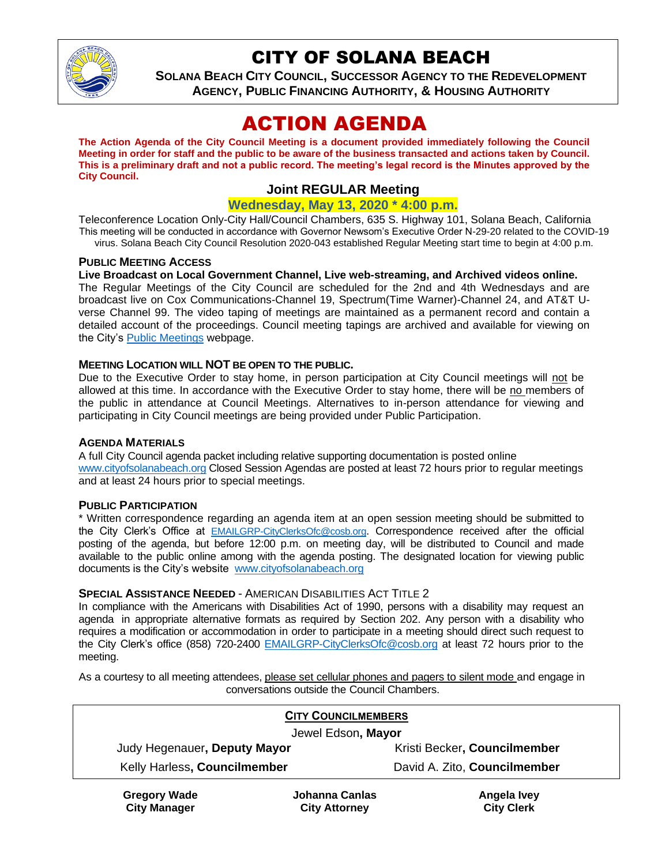

# CITY OF SOLANA BEACH

**SOLANA BEACH CITY COUNCIL, SUCCESSOR AGENCY TO THE REDEVELOPMENT AGENCY, PUBLIC FINANCING AUTHORITY, & HOUSING AUTHORITY**

# ACTION AGENDA

**The Action Agenda of the City Council Meeting is a document provided immediately following the Council Meeting in order for staff and the public to be aware of the business transacted and actions taken by Council. This is a preliminary draft and not a public record. The meeting's legal record is the Minutes approved by the City Council.**

# **Joint REGULAR Meeting**

## **Wednesday, May 13, 2020 \* 4:00 p.m.**

Teleconference Location Only-City Hall/Council Chambers, 635 S. Highway 101, Solana Beach, California This meeting will be conducted in accordance with Governor Newsom's Executive Order N-29-20 related to the COVID-19 virus. Solana Beach City Council Resolution 2020-043 established Regular Meeting start time to begin at 4:00 p.m.

#### **PUBLIC MEETING ACCESS**

#### **Live Broadcast on Local Government Channel, Live web-streaming, and Archived videos online.**

The Regular Meetings of the City Council are scheduled for the 2nd and 4th Wednesdays and are broadcast live on Cox Communications-Channel 19, Spectrum(Time Warner)-Channel 24, and AT&T Uverse Channel 99. The video taping of meetings are maintained as a permanent record and contain a detailed account of the proceedings. Council meeting tapings are archived and available for viewing on the City's [Public Meetings](https://urldefense.proofpoint.com/v2/url?u=https-3A__www.ci.solana-2Dbeach.ca.us_index.asp-3FSEC-3DF0F1200D-2D21C6-2D4A88-2D8AE1-2D0BC07C1A81A7-26Type-3DB-5FBASIC&d=DwMFAg&c=euGZstcaTDllvimEN8b7jXrwqOf-v5A_CdpgnVfiiMM&r=1XAsCUuqwK_tji2t0s1uIQ&m=wny2RVfZJ2tN24LkqZmkUWNpwL_peNtTZUBlTBZiMM4&s=WwpcEQpHHkFen6nS6q2waMuQ_VMZ-i1YZ60lD-dYRRE&e=) webpage.

#### **MEETING LOCATION WILL NOT BE OPEN TO THE PUBLIC.**

Due to the Executive Order to stay home, in person participation at City Council meetings will not be allowed at this time. In accordance with the Executive Order to stay home, there will be no members of the public in attendance at Council Meetings. Alternatives to in-person attendance for viewing and participating in City Council meetings are being provided under Public Participation.

#### **AGENDA MATERIALS**

A full City Council agenda packet including relative supporting documentation is posted online [www.cityofsolanabeach.org](https://urldefense.proofpoint.com/v2/url?u=http-3A__www.cityofsolanabeach.org&d=DwQFAg&c=euGZstcaTDllvimEN8b7jXrwqOf-v5A_CdpgnVfiiMM&r=1XAsCUuqwK_tji2t0s1uIQ&m=wny2RVfZJ2tN24LkqZmkUWNpwL_peNtTZUBlTBZiMM4&s=6ATguqxJUOD7VVtloplAbyuyNaVcEh6Fl4q1iw55lCY&e=) Closed Session Agendas are posted at least 72 hours prior to regular meetings and at least 24 hours prior to special meetings.

#### **PUBLIC PARTICIPATION**

\* Written correspondence regarding an agenda item at an open session meeting should be submitted to the City Clerk's Office at [EMAILGRP-CityClerksOfc@cosb.org](mailto:EMAILGRP-CityClerksOfc@cosb.org). Correspondence received after the official posting of the agenda, but before 12:00 p.m. on meeting day, will be distributed to Council and made available to the public online among with the agenda posting. The designated location for viewing public documents is the City's website [www.cityofsolanabeach.org](http://www.cityofsolanabeach.org/)

#### **SPECIAL ASSISTANCE NEEDED** - AMERICAN DISABILITIES ACT TITLE 2

In compliance with the Americans with Disabilities Act of 1990, persons with a disability may request an agenda in appropriate alternative formats as required by Section 202. Any person with a disability who requires a modification or accommodation in order to participate in a meeting should direct such request to the City Clerk's office (858) 720-2400 [EMAILGRP-CityClerksOfc@cosb.org](mailto:EMAILGRP-CityClerksOfc@cosb.org) at least 72 hours prior to the meeting.

As a courtesy to all meeting attendees, please set cellular phones and pagers to silent mode and engage in conversations outside the Council Chambers.

| <b>CITY COUNCILMEMBERS</b>   |                              |  |
|------------------------------|------------------------------|--|
| Jewel Edson, Mayor           |                              |  |
| Judy Hegenauer, Deputy Mayor | Kristi Becker, Councilmember |  |
| Kelly Harless, Councilmember | David A. Zito, Councilmember |  |
|                              |                              |  |

**Gregory Wade City Manager**

**Johanna Canlas City Attorney**

**Angela Ivey City Clerk**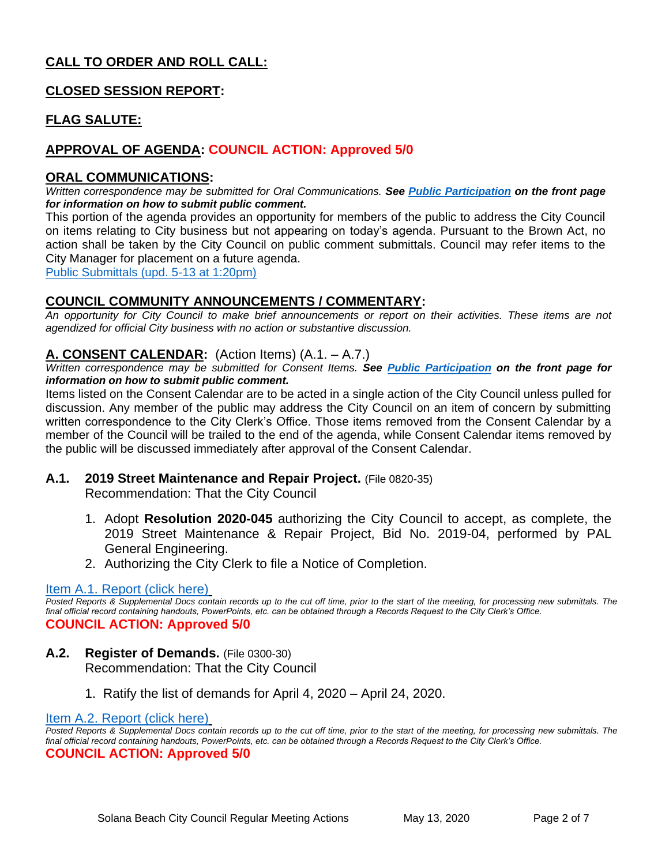# **CALL TO ORDER AND ROLL CALL:**

# **CLOSED SESSION REPORT:**

# **FLAG SALUTE:**

# **APPROVAL OF AGENDA: COUNCIL ACTION: Approved 5/0**

### **ORAL COMMUNICATIONS:**

*Written correspondence may be submitted for Oral Communications. See Public Participation on the front page for information on how to submit public comment.* 

This portion of the agenda provides an opportunity for members of the public to address the City Council on items relating to City business but not appearing on today's agenda. Pursuant to the Brown Act, no action shall be taken by the City Council on public comment submittals. Council may refer items to the City Manager for placement on a future agenda.

[Public Submittals \(upd. 5-13 at 1:20pm\)](https://solanabeach.govoffice3.com/vertical/Sites/%7B840804C2-F869-4904-9AE3-720581350CE7%7D/uploads/Public_Submittals_(upd._5-13_at_1255pm)_-_R.pdf)

## **COUNCIL COMMUNITY ANNOUNCEMENTS / COMMENTARY:**

*An opportunity for City Council to make brief announcements or report on their activities. These items are not agendized for official City business with no action or substantive discussion.* 

## **A. CONSENT CALENDAR:** (Action Items) (A.1. – A.7.)

*Written correspondence may be submitted for Consent Items. See Public Participation on the front page for information on how to submit public comment.* 

Items listed on the Consent Calendar are to be acted in a single action of the City Council unless pulled for discussion. Any member of the public may address the City Council on an item of concern by submitting written correspondence to the City Clerk's Office. Those items removed from the Consent Calendar by a member of the Council will be trailed to the end of the agenda, while Consent Calendar items removed by the public will be discussed immediately after approval of the Consent Calendar.

**A.1. 2019 Street Maintenance and Repair Project.** (File 0820-35)

Recommendation: That the City Council

- 1. Adopt **Resolution 2020-045** authorizing the City Council to accept, as complete, the 2019 Street Maintenance & Repair Project, Bid No. 2019-04, performed by PAL General Engineering.
- 2. Authorizing the City Clerk to file a Notice of Completion.

#### [Item A.1. Report \(click here\)](https://solanabeach.govoffice3.com/vertical/Sites/%7B840804C2-F869-4904-9AE3-720581350CE7%7D/uploads/Item_A.1._Report_(click_here)_05-13-20_-_O.pdf)

*Posted Reports & Supplemental Docs contain records up to the cut off time, prior to the start of the meeting, for processing new submittals. The final official record containing handouts, PowerPoints, etc. can be obtained through a Records Request to the City Clerk's Office.* **COUNCIL ACTION: Approved 5/0**

- **A.2. Register of Demands.** (File 0300-30) Recommendation: That the City Council
	- 1. Ratify the list of demands for April 4, 2020 April 24, 2020.

#### [Item A.2. Report \(click here\)](https://solanabeach.govoffice3.com/vertical/Sites/%7B840804C2-F869-4904-9AE3-720581350CE7%7D/uploads/Item_A.2._Report_(click_here)_05-13-20_-_O.pdf)

*Posted Reports & Supplemental Docs contain records up to the cut off time, prior to the start of the meeting, for processing new submittals. The final official record containing handouts, PowerPoints, etc. can be obtained through a Records Request to the City Clerk's Office.*

#### **COUNCIL ACTION: Approved 5/0**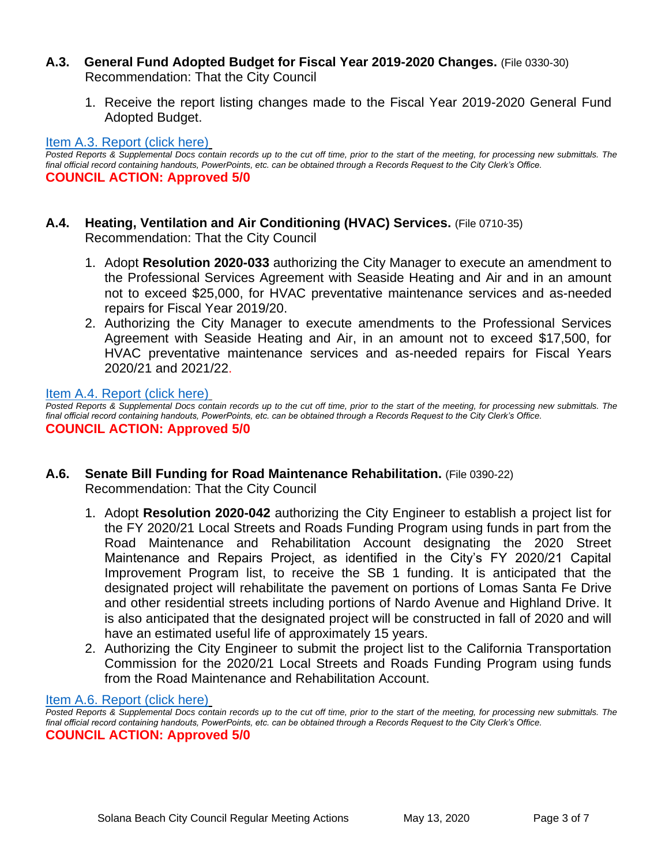## **A.3. General Fund Adopted Budget for Fiscal Year 2019-2020 Changes.** (File 0330-30) Recommendation: That the City Council

1. Receive the report listing changes made to the Fiscal Year 2019-2020 General Fund Adopted Budget.

#### Item A.3. [Report \(click here\)](https://solanabeach.govoffice3.com/vertical/Sites/%7B840804C2-F869-4904-9AE3-720581350CE7%7D/uploads/Item_A.3._Report_(click_here)_05-13-20_-_O.pdf)

*Posted Reports & Supplemental Docs contain records up to the cut off time, prior to the start of the meeting, for processing new submittals. The final official record containing handouts, PowerPoints, etc. can be obtained through a Records Request to the City Clerk's Office.* **COUNCIL ACTION: Approved 5/0**

- **A.4. Heating, Ventilation and Air Conditioning (HVAC) Services.** (File 0710-35) Recommendation: That the City Council
	- 1. Adopt **Resolution 2020-033** authorizing the City Manager to execute an amendment to the Professional Services Agreement with Seaside Heating and Air and in an amount not to exceed \$25,000, for HVAC preventative maintenance services and as-needed repairs for Fiscal Year 2019/20.
	- 2. Authorizing the City Manager to execute amendments to the Professional Services Agreement with Seaside Heating and Air, in an amount not to exceed \$17,500, for HVAC preventative maintenance services and as-needed repairs for Fiscal Years 2020/21 and 2021/22.

[Item A.4. Report \(click here\)](https://solanabeach.govoffice3.com/vertical/Sites/%7B840804C2-F869-4904-9AE3-720581350CE7%7D/uploads/Item_A.4._Report_(click_here)_05-13-20_-_O.pdf)

*Posted Reports & Supplemental Docs contain records up to the cut off time, prior to the start of the meeting, for processing new submittals. The final official record containing handouts, PowerPoints, etc. can be obtained through a Records Request to the City Clerk's Office.* **COUNCIL ACTION: Approved 5/0**

- **A.6. Senate Bill Funding for Road Maintenance Rehabilitation.** (File 0390-22) Recommendation: That the City Council
	- 1. Adopt **Resolution 2020-042** authorizing the City Engineer to establish a project list for the FY 2020/21 Local Streets and Roads Funding Program using funds in part from the Road Maintenance and Rehabilitation Account designating the 2020 Street Maintenance and Repairs Project, as identified in the City's FY 2020/21 Capital Improvement Program list, to receive the SB 1 funding. It is anticipated that the designated project will rehabilitate the pavement on portions of Lomas Santa Fe Drive and other residential streets including portions of Nardo Avenue and Highland Drive. It is also anticipated that the designated project will be constructed in fall of 2020 and will have an estimated useful life of approximately 15 years.
	- 2. Authorizing the City Engineer to submit the project list to the California Transportation Commission for the 2020/21 Local Streets and Roads Funding Program using funds from the Road Maintenance and Rehabilitation Account.

[Item A.6. Report \(click here\)](https://solanabeach.govoffice3.com/vertical/Sites/%7B840804C2-F869-4904-9AE3-720581350CE7%7D/uploads/Item_A.6._Report_(click_here)_05-13-20_-_O.pdf)

*Posted Reports & Supplemental Docs contain records up to the cut off time, prior to the start of the meeting, for processing new submittals. The final official record containing handouts, PowerPoints, etc. can be obtained through a Records Request to the City Clerk's Office.* **COUNCIL ACTION: Approved 5/0**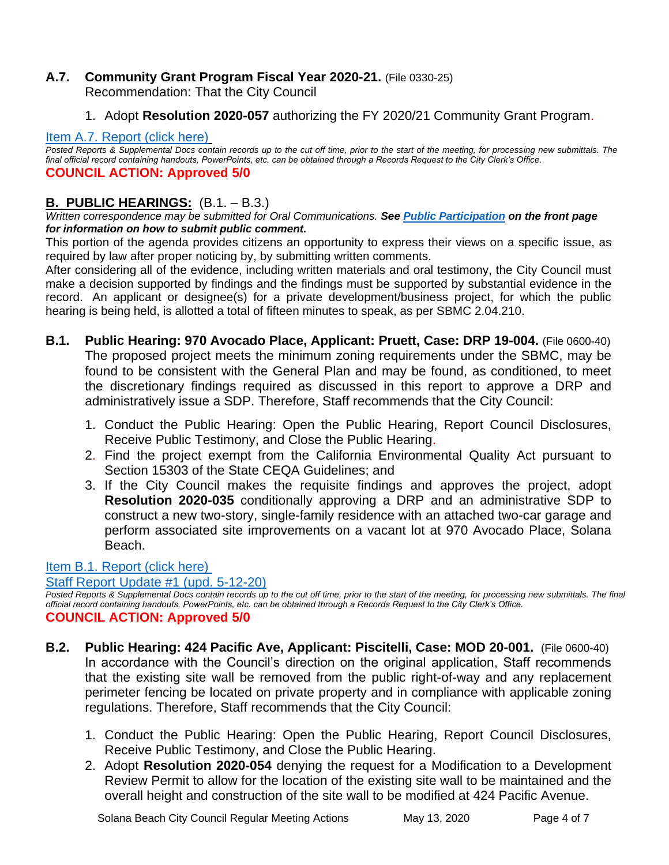# **A.7. Community Grant Program Fiscal Year 2020-21.** (File 0330-25) Recommendation: That the City Council

1. Adopt **Resolution 2020-057** authorizing the FY 2020/21 Community Grant Program.

# [Item A.7. Report \(click here\)](https://solanabeach.govoffice3.com/vertical/Sites/%7B840804C2-F869-4904-9AE3-720581350CE7%7D/uploads/Item_A.7._Report_(click_here)_05-13-20_-_O.pdf)

*Posted Reports & Supplemental Docs contain records up to the cut off time, prior to the start of the meeting, for processing new submittals. The final official record containing handouts, PowerPoints, etc. can be obtained through a Records Request to the City Clerk's Office.* **COUNCIL ACTION: Approved 5/0**

# **B. PUBLIC HEARINGS:** (B.1. – B.3.)

*Written correspondence may be submitted for Oral Communications. See Public Participation on the front page for information on how to submit public comment.* 

This portion of the agenda provides citizens an opportunity to express their views on a specific issue, as required by law after proper noticing by, by submitting written comments.

After considering all of the evidence, including written materials and oral testimony, the City Council must make a decision supported by findings and the findings must be supported by substantial evidence in the record. An applicant or designee(s) for a private development/business project, for which the public hearing is being held, is allotted a total of fifteen minutes to speak, as per SBMC 2.04.210.

- **B.1. Public Hearing: 970 Avocado Place, Applicant: Pruett, Case: DRP 19-004.** (File 0600-40) The proposed project meets the minimum zoning requirements under the SBMC, may be found to be consistent with the General Plan and may be found, as conditioned, to meet the discretionary findings required as discussed in this report to approve a DRP and administratively issue a SDP. Therefore, Staff recommends that the City Council:
	- 1. Conduct the Public Hearing: Open the Public Hearing, Report Council Disclosures, Receive Public Testimony, and Close the Public Hearing.
	- 2. Find the project exempt from the California Environmental Quality Act pursuant to Section 15303 of the State CEQA Guidelines; and
	- 3. If the City Council makes the requisite findings and approves the project, adopt **Resolution 2020-035** conditionally approving a DRP and an administrative SDP to construct a new two-story, single-family residence with an attached two-car garage and perform associated site improvements on a vacant lot at 970 Avocado Place, Solana Beach.

# [Item B.1. Report \(click here\)](https://solanabeach.govoffice3.com/vertical/Sites/%7B840804C2-F869-4904-9AE3-720581350CE7%7D/uploads/Item_B.1._Report_(click_here)_05-13-20_-_O.pdf)

[Staff Report Update #1 \(upd. 5-12-20\)](https://solanabeach.govoffice3.com/vertical/Sites/%7B840804C2-F869-4904-9AE3-720581350CE7%7D/uploads/Item_B.1._Updated_Report_1_(upd._5-12-20)_-_O.pdf)

*Posted Reports & Supplemental Docs contain records up to the cut off time, prior to the start of the meeting, for processing new submittals. The final official record containing handouts, PowerPoints, etc. can be obtained through a Records Request to the City Clerk's Office.* **COUNCIL ACTION: Approved 5/0**

- **B.2. Public Hearing: 424 Pacific Ave, Applicant: Piscitelli, Case: MOD 20-001.** (File 0600-40) In accordance with the Council's direction on the original application, Staff recommends that the existing site wall be removed from the public right-of-way and any replacement perimeter fencing be located on private property and in compliance with applicable zoning regulations. Therefore, Staff recommends that the City Council:
	- 1. Conduct the Public Hearing: Open the Public Hearing, Report Council Disclosures, Receive Public Testimony, and Close the Public Hearing.
	- 2. Adopt **Resolution 2020-054** denying the request for a Modification to a Development Review Permit to allow for the location of the existing site wall to be maintained and the overall height and construction of the site wall to be modified at 424 Pacific Avenue.

Solana Beach City Council Regular Meeting Actions May 13, 2020 Page 4 of 7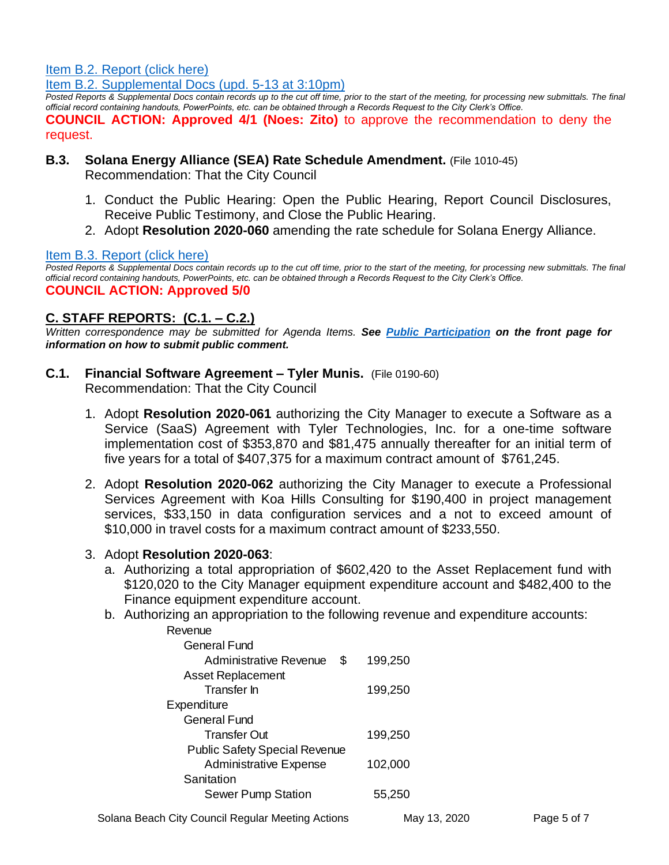[Item B.2. Report \(click here\)](https://solanabeach.govoffice3.com/vertical/Sites/%7B840804C2-F869-4904-9AE3-720581350CE7%7D/uploads/Item_B.2._Report_(click_here)_05-13-20_-_O.pdf)

[Item B.2. Supplemental Docs \(upd. 5-13 at 3:10pm\)](https://solanabeach.govoffice3.com/vertical/Sites/%7B840804C2-F869-4904-9AE3-720581350CE7%7D/uploads/Item_B.2._Supplemental_Docs_(Upd._5-13_at_3pm)_-_O.pdf)

*Posted Reports & Supplemental Docs contain records up to the cut off time, prior to the start of the meeting, for processing new submittals. The final official record containing handouts, PowerPoints, etc. can be obtained through a Records Request to the City Clerk's Office.*

**COUNCIL ACTION: Approved 4/1 (Noes: Zito)** to approve the recommendation to deny the request.

# **B.3. Solana Energy Alliance (SEA) Rate Schedule Amendment.** (File 1010-45)

Recommendation: That the City Council

- 1. Conduct the Public Hearing: Open the Public Hearing, Report Council Disclosures, Receive Public Testimony, and Close the Public Hearing.
- 2. Adopt **Resolution 2020-060** amending the rate schedule for Solana Energy Alliance.

#### [Item B.3. Report \(click here\)](https://solanabeach.govoffice3.com/vertical/Sites/%7B840804C2-F869-4904-9AE3-720581350CE7%7D/uploads/Item_B.3._Report_(click_here)_05-13-20_-_O.pdf)

*Posted Reports & Supplemental Docs contain records up to the cut off time, prior to the start of the meeting, for processing new submittals. The final official record containing handouts, PowerPoints, etc. can be obtained through a Records Request to the City Clerk's Office.* **COUNCIL ACTION: Approved 5/0**

# **C. STAFF REPORTS: (C.1. – C.2.)**

*Written correspondence may be submitted for Agenda Items. See Public Participation on the front page for information on how to submit public comment.* 

- **C.1. Financial Software Agreement – Tyler Munis.** (File 0190-60) Recommendation: That the City Council
	- 1. Adopt **Resolution 2020-061** authorizing the City Manager to execute a Software as a Service (SaaS) Agreement with Tyler Technologies, Inc. for a one-time software implementation cost of \$353,870 and \$81,475 annually thereafter for an initial term of five years for a total of \$407,375 for a maximum contract amount of \$761,245.
	- 2. Adopt **Resolution 2020-062** authorizing the City Manager to execute a Professional Services Agreement with Koa Hills Consulting for \$190,400 in project management services, \$33,150 in data configuration services and a not to exceed amount of \$10,000 in travel costs for a maximum contract amount of \$233,550.
	- 3. Adopt **Resolution 2020-063**:
		- a. Authorizing a total appropriation of \$602,420 to the Asset Replacement fund with \$120,020 to the City Manager equipment expenditure account and \$482,400 to the Finance equipment expenditure account.
		- b. Authorizing an appropriation to the following revenue and expenditure accounts:

| Revenue                              |         |
|--------------------------------------|---------|
| General Fund                         |         |
| S<br>Administrative Revenue          | 199,250 |
| <b>Asset Replacement</b>             |         |
| Transfer In                          | 199,250 |
| Expenditure                          |         |
| General Fund                         |         |
| Transfer Out                         | 199,250 |
| <b>Public Safety Special Revenue</b> |         |
| <b>Administrative Expense</b>        | 102,000 |
| Sanitation                           |         |
| <b>Sewer Pump Station</b>            | 55,250  |
|                                      |         |

Solana Beach City Council Regular Meeting Actions May 13, 2020 Page 5 of 7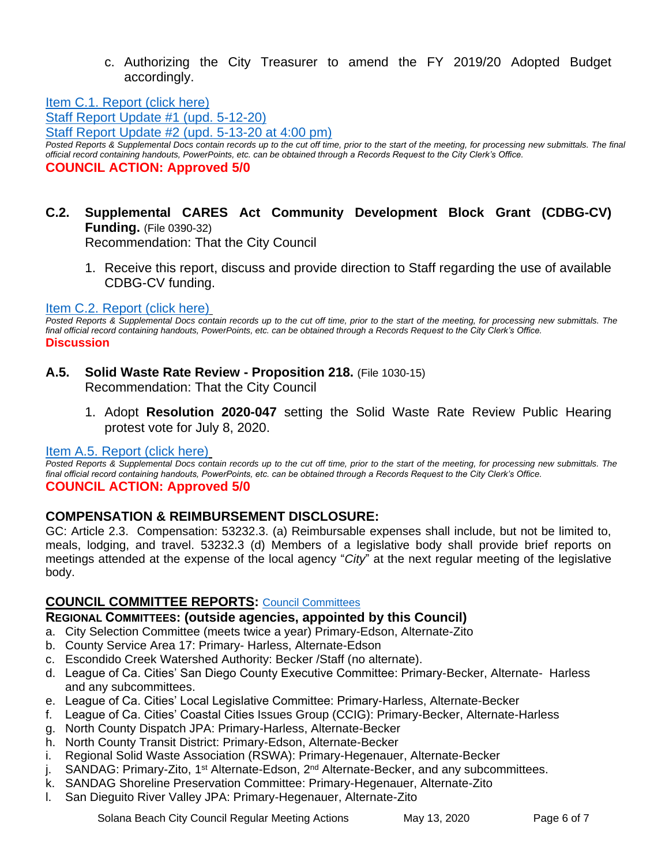c. Authorizing the City Treasurer to amend the FY 2019/20 Adopted Budget accordingly.

[Item C.1. Report \(click here\)](https://solanabeach.govoffice3.com/vertical/Sites/%7B840804C2-F869-4904-9AE3-720581350CE7%7D/uploads/Item_C.1._Report_(click_here)_05-13-20_-_O.pdf)

[Staff Report Update #1 \(upd. 5-12-20\)](https://solanabeach.govoffice3.com/vertical/Sites/%7B840804C2-F869-4904-9AE3-720581350CE7%7D/uploads/Item_C.1._Updated_Report_1_(upd._5-12-20)_-_O.pdf) Staff Report Update #2 [\(upd. 5-13-20 at 4:00 pm\)](https://solanabeach.govoffice3.com/vertical/Sites/%7B840804C2-F869-4904-9AE3-720581350CE7%7D/uploads/Item_C.1._Updated_Report_2_(upd._5-13-20_at_400pm)_-_O.pdf) *Posted Reports & Supplemental Docs contain records up to the cut off time, prior to the start of the meeting, for processing new submittals. The final official record containing handouts, PowerPoints, etc. can be obtained through a Records Request to the City Clerk's Office.* **COUNCIL ACTION: Approved 5/0**

# **C.2. Supplemental CARES Act Community Development Block Grant (CDBG-CV) Funding.** (File 0390-32)

Recommendation: That the City Council

1. Receive this report, discuss and provide direction to Staff regarding the use of available CDBG-CV funding.

## [Item C.2. Report \(click here\)](https://solanabeach.govoffice3.com/vertical/Sites/%7B840804C2-F869-4904-9AE3-720581350CE7%7D/uploads/Item_C.2._Report_(click_here)_05-13-20_-_O.pdf)

*Posted Reports & Supplemental Docs contain records up to the cut off time, prior to the start of the meeting, for processing new submittals. The final official record containing handouts, PowerPoints, etc. can be obtained through a Records Request to the City Clerk's Office.* **Discussion** 

- **A.5. Solid Waste Rate Review - Proposition 218.** (File 1030-15) Recommendation: That the City Council
	- 1. Adopt **Resolution 2020-047** setting the Solid Waste Rate Review Public Hearing protest vote for July 8, 2020.

# [Item A.5. Report \(click here\)](https://solanabeach.govoffice3.com/vertical/Sites/%7B840804C2-F869-4904-9AE3-720581350CE7%7D/uploads/Item_A.5._Report_(click_here)_05-13-20_-_O.pdf)

*Posted Reports & Supplemental Docs contain records up to the cut off time, prior to the start of the meeting, for processing new submittals. The final official record containing handouts, PowerPoints, etc. can be obtained through a Records Request to the City Clerk's Office.* **COUNCIL ACTION: Approved 5/0**

# **COMPENSATION & REIMBURSEMENT DISCLOSURE:**

GC: Article 2.3. Compensation: 53232.3. (a) Reimbursable expenses shall include, but not be limited to, meals, lodging, and travel. 53232.3 (d) Members of a legislative body shall provide brief reports on meetings attended at the expense of the local agency "*City*" at the next regular meeting of the legislative body.

# **COUNCIL COMMITTEE REPORTS:** [Council Committees](https://www.ci.solana-beach.ca.us/index.asp?SEC=584E1192-3850-46EA-B977-088AC3E81E0D&Type=B_BASIC)

# **REGIONAL COMMITTEES: (outside agencies, appointed by this Council)**

- a. City Selection Committee (meets twice a year) Primary-Edson, Alternate-Zito
- b. County Service Area 17: Primary- Harless, Alternate-Edson
- c. Escondido Creek Watershed Authority: Becker /Staff (no alternate).
- d. League of Ca. Cities' San Diego County Executive Committee: Primary-Becker, Alternate- Harless and any subcommittees.
- e. League of Ca. Cities' Local Legislative Committee: Primary-Harless, Alternate-Becker
- f. League of Ca. Cities' Coastal Cities Issues Group (CCIG): Primary-Becker, Alternate-Harless
- g. North County Dispatch JPA: Primary-Harless, Alternate-Becker
- h. North County Transit District: Primary-Edson, Alternate-Becker
- i. Regional Solid Waste Association (RSWA): Primary-Hegenauer, Alternate-Becker
- j. SANDAG: Primary-Zito, 1<sup>st</sup> Alternate-Edson, 2<sup>nd</sup> Alternate-Becker, and any subcommittees.
- k. SANDAG Shoreline Preservation Committee: Primary-Hegenauer, Alternate-Zito
- l. San Dieguito River Valley JPA: Primary-Hegenauer, Alternate-Zito